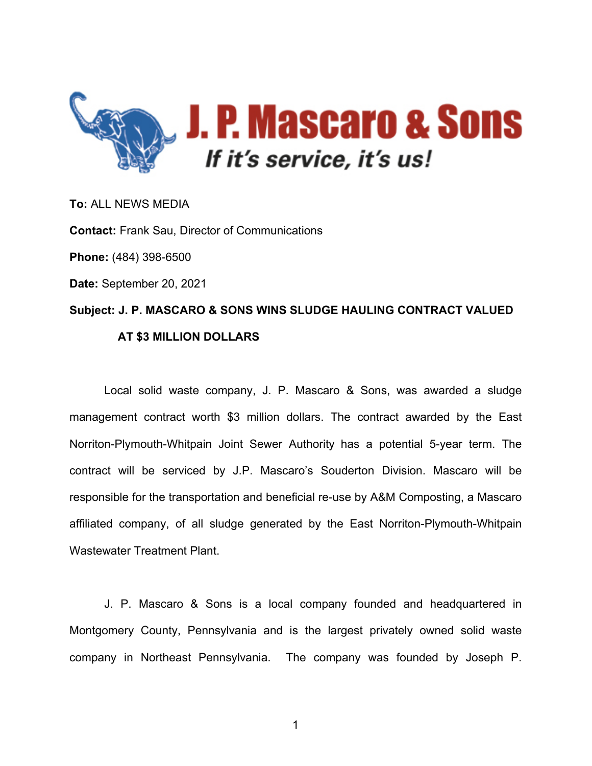

**To:** ALL NEWS MEDIA **Contact:** Frank Sau, Director of Communications **Phone:** (484) 398-6500 **Date:** September 20, 2021 **Subject: J. P. MASCARO & SONS WINS SLUDGE HAULING CONTRACT VALUED AT \$3 MILLION DOLLARS**

Local solid waste company, J. P. Mascaro & Sons, was awarded a sludge management contract worth \$3 million dollars. The contract awarded by the East Norriton-Plymouth-Whitpain Joint Sewer Authority has a potential 5-year term. The contract will be serviced by J.P. Mascaro's Souderton Division. Mascaro will be responsible for the transportation and beneficial re-use by A&M Composting, a Mascaro affiliated company, of all sludge generated by the East Norriton-Plymouth-Whitpain Wastewater Treatment Plant.

J. P. Mascaro & Sons is a local company founded and headquartered in Montgomery County, Pennsylvania and is the largest privately owned solid waste company in Northeast Pennsylvania. The company was founded by Joseph P.

1